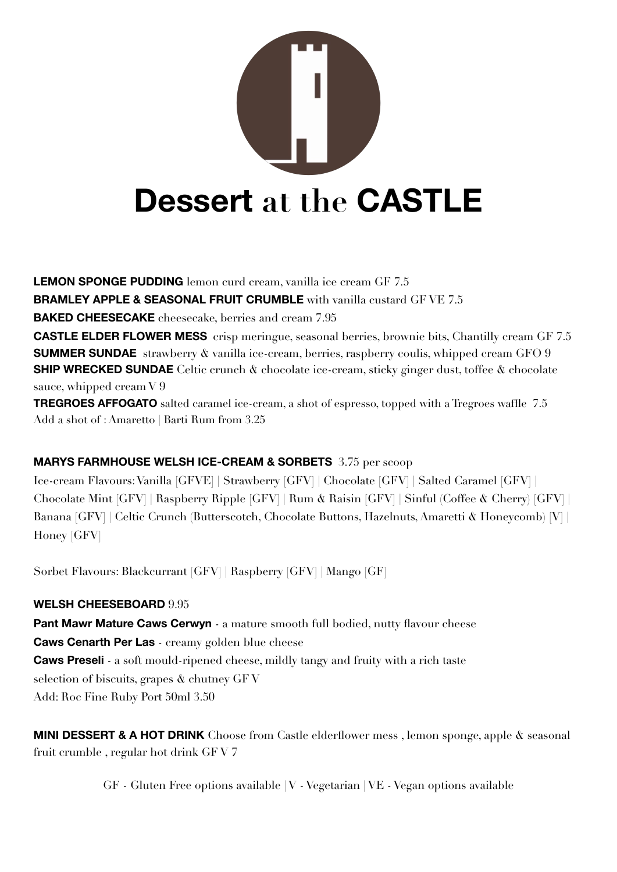

**LEMON SPONGE PUDDING** lemon curd cream, vanilla ice cream GF 7.5 **BRAMLEY APPLE & SEASONAL FRUIT CRUMBLE** with vanilla custard GF VE 7.5 **BAKED CHEESECAKE** cheesecake, berries and cream 7.95 **CASTLE ELDER FLOWER MESS** crisp meringue, seasonal berries, brownie bits, Chantilly cream GF 7.5 **SUMMER SUNDAE** strawberry & vanilla ice-cream, berries, raspberry coulis, whipped cream GFO 9 **SHIP WRECKED SUNDAE** Celtic crunch  $\&$  chocolate ice-cream, sticky ginger dust, toffee  $\&$  chocolate sauce, whipped cream V 9 **TREGROES AFFOGATO** salted caramel ice-cream, a shot of espresso, topped with a Tregroes waffle 7.5 Add a shot of : Amaretto | Barti Rum from 3.25

#### **MARYS FARMHOUSE WELSH ICE-CREAM & SORBETS** 3.75 per scoop

Ice-cream Flavours: Vanilla [GFVE] | Strawberry [GFV] | Chocolate [GFV] | Salted Caramel [GFV] | Chocolate Mint [GFV] | Raspberry Ripple [GFV] | Rum & Raisin [GFV] | Sinful (Coffee & Cherry) [GFV] | Banana [GFV] | Celtic Crunch (Butterscotch, Chocolate Buttons, Hazelnuts, Amaretti & Honeycomb) [V] | Honey [GFV]

Sorbet Flavours: Blackcurrant [GFV] | Raspberry [GFV] | Mango [GF]

#### **WELSH CHEESEBOARD** 9.95

**Pant Mawr Mature Caws Cerwyn** - a mature smooth full bodied, nutty flavour cheese **Caws Cenarth Per Las** - creamy golden blue cheese **Caws Preseli** - a soft mould-ripened cheese, mildly tangy and fruity with a rich taste selection of biscuits, grapes & chutney GF V Add: Roc Fine Ruby Port 50ml 3.50

**MINI DESSERT & A HOT DRINK** Choose from Castle elderflower mess , lemon sponge, apple & seasonal fruit crumble , regular hot drink GF V 7

GF - Gluten Free options available | V - Vegetarian | VE - Vegan options available